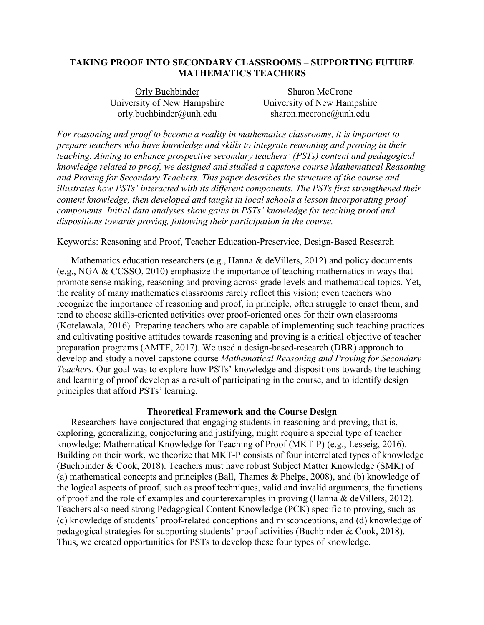# **TAKING PROOF INTO SECONDARY CLASSROOMS – SUPPORTING FUTURE MATHEMATICS TEACHERS**

University of New Hampshire University of New Hampshire

Orly Buchbinder Sharon McCrone [orly.buchbinder@unh.edu](mailto:orly.buchbinder@unh.edu) [sharon.mccrone@unh.edu](mailto:sharon.mccrone@unh.edu)

*For reasoning and proof to become a reality in mathematics classrooms, it is important to prepare teachers who have knowledge and skills to integrate reasoning and proving in their teaching. Aiming to enhance prospective secondary teachers' (PSTs) content and pedagogical knowledge related to proof, we designed and studied a capstone course Mathematical Reasoning and Proving for Secondary Teachers. This paper describes the structure of the course and illustrates how PSTs' interacted with its different components. The PSTs first strengthened their content knowledge, then developed and taught in local schools a lesson incorporating proof components. Initial data analyses show gains in PSTs' knowledge for teaching proof and dispositions towards proving, following their participation in the course.* 

## Keywords: Reasoning and Proof, Teacher Education-Preservice, Design-Based Research

Mathematics education researchers (e.g., Hanna & deVillers, 2012) and policy documents (e.g., NGA & CCSSO, 2010) emphasize the importance of teaching mathematics in ways that promote sense making, reasoning and proving across grade levels and mathematical topics. Yet, the reality of many mathematics classrooms rarely reflect this vision; even teachers who recognize the importance of reasoning and proof, in principle, often struggle to enact them, and tend to choose skills-oriented activities over proof-oriented ones for their own classrooms (Kotelawala, 2016). Preparing teachers who are capable of implementing such teaching practices and cultivating positive attitudes towards reasoning and proving is a critical objective of teacher preparation programs (AMTE, 2017). We used a design-based-research (DBR) approach to develop and study a novel capstone course *Mathematical Reasoning and Proving for Secondary Teachers*. Our goal was to explore how PSTs' knowledge and dispositions towards the teaching and learning of proof develop as a result of participating in the course, and to identify design principles that afford PSTs' learning.

## **Theoretical Framework and the Course Design**

Researchers have conjectured that engaging students in reasoning and proving, that is, exploring, generalizing, conjecturing and justifying, might require a special type of teacher knowledge: Mathematical Knowledge for Teaching of Proof (MKT-P) (e.g., Lesseig, 2016). Building on their work, we theorize that MKT-P consists of four interrelated types of knowledge (Buchbinder & Cook, 2018). Teachers must have robust Subject Matter Knowledge (SMK) of (a) mathematical concepts and principles (Ball, Thames & Phelps, 2008), and (b) knowledge of the logical aspects of proof, such as proof techniques, valid and invalid arguments, the functions of proof and the role of examples and counterexamples in proving (Hanna & deVillers, 2012). Teachers also need strong Pedagogical Content Knowledge (PCK) specific to proving, such as (c) knowledge of students' proof-related conceptions and misconceptions, and (d) knowledge of pedagogical strategies for supporting students' proof activities (Buchbinder & Cook, 2018). Thus, we created opportunities for PSTs to develop these four types of knowledge.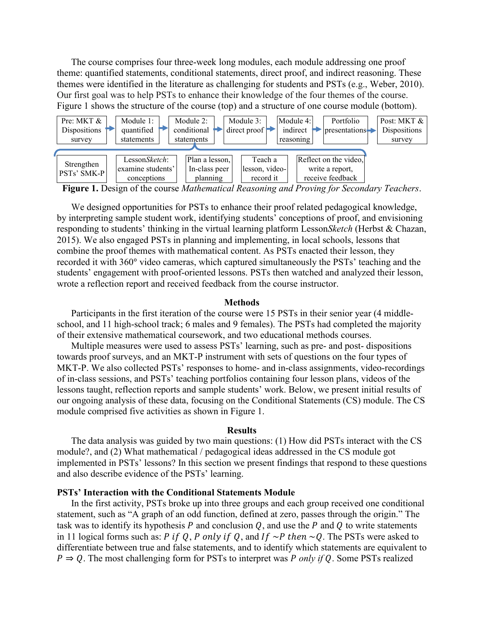The course comprises four three-week long modules, each module addressing one proof theme: quantified statements, conditional statements, direct proof, and indirect reasoning. These themes were identified in the literature as challenging for students and PSTs (e.g., Weber, 2010). Our first goal was to help PSTs to enhance their knowledge of the four themes of the course. Figure 1 shows the structure of the course (top) and a structure of one course module (bottom).



**Figure 1.** Design of the course *Mathematical Reasoning and Proving for Secondary Teachers*.

We designed opportunities for PSTs to enhance their proof related pedagogical knowledge, by interpreting sample student work, identifying students' conceptions of proof, and envisioning responding to students' thinking in the virtual learning platform Lesson*Sketch* (Herbst & Chazan, 2015). We also engaged PSTs in planning and implementing, in local schools, lessons that combine the proof themes with mathematical content. As PSTs enacted their lesson, they recorded it with 360° video cameras, which captured simultaneously the PSTs' teaching and the students' engagement with proof-oriented lessons. PSTs then watched and analyzed their lesson, wrote a reflection report and received feedback from the course instructor.

#### **Methods**

Participants in the first iteration of the course were 15 PSTs in their senior year (4 middleschool, and 11 high-school track; 6 males and 9 females). The PSTs had completed the majority of their extensive mathematical coursework, and two educational methods courses.

Multiple measures were used to assess PSTs' learning, such as pre- and post- dispositions towards proof surveys, and an MKT-P instrument with sets of questions on the four types of MKT-P. We also collected PSTs' responses to home- and in-class assignments, video-recordings of in-class sessions, and PSTs' teaching portfolios containing four lesson plans, videos of the lessons taught, reflection reports and sample students' work. Below, we present initial results of our ongoing analysis of these data, focusing on the Conditional Statements (CS) module. The CS module comprised five activities as shown in Figure 1.

#### **Results**

The data analysis was guided by two main questions: (1) How did PSTs interact with the CS module?, and (2) What mathematical / pedagogical ideas addressed in the CS module got implemented in PSTs' lessons? In this section we present findings that respond to these questions and also describe evidence of the PSTs' learning.

## **PSTs' Interaction with the Conditional Statements Module**

In the first activity, PSTs broke up into three groups and each group received one conditional statement, such as "A graph of an odd function, defined at zero, passes through the origin." The task was to identify its hypothesis P and conclusion  $Q$ , and use the P and Q to write statements in 11 logical forms such as: P if Q, P only if Q, and If  $\sim$ P then  $\sim$ Q. The PSTs were asked to differentiate between true and false statements, and to identify which statements are equivalent to  $P \Rightarrow Q$ . The most challenging form for PSTs to interpret was *P only if Q*. Some PSTs realized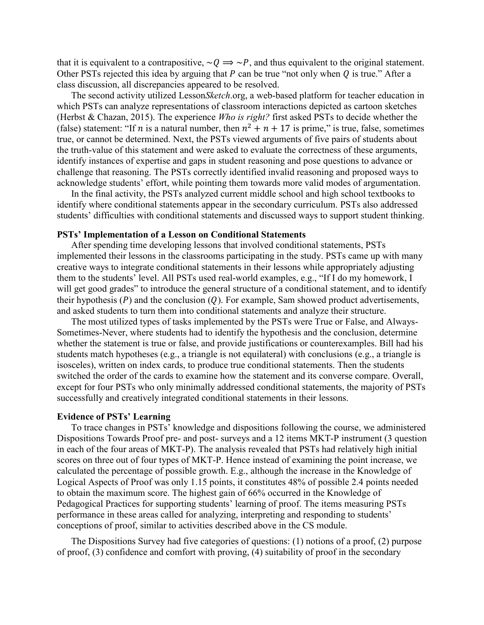that it is equivalent to a contrapositive,  $\sim Q \Rightarrow \sim P$ , and thus equivalent to the original statement. Other PSTs rejected this idea by arguing that  $P$  can be true "not only when  $Q$  is true." After a class discussion, all discrepancies appeared to be resolved.

The second activity utilized Lesson*Sketch*.org, a web-based platform for teacher education in which PSTs can analyze representations of classroom interactions depicted as cartoon sketches (Herbst & Chazan, 2015). The experience *Who is right?* first asked PSTs to decide whether the (false) statement: "If *n* is a natural number, then  $n^2 + n + 17$  is prime," is true, false, sometimes true, or cannot be determined. Next, the PSTs viewed arguments of five pairs of students about the truth-value of this statement and were asked to evaluate the correctness of these arguments, identify instances of expertise and gaps in student reasoning and pose questions to advance or challenge that reasoning. The PSTs correctly identified invalid reasoning and proposed ways to acknowledge students' effort, while pointing them towards more valid modes of argumentation.

In the final activity, the PSTs analyzed current middle school and high school textbooks to identify where conditional statements appear in the secondary curriculum. PSTs also addressed students' difficulties with conditional statements and discussed ways to support student thinking.

## **PSTs' Implementation of a Lesson on Conditional Statements**

After spending time developing lessons that involved conditional statements, PSTs implemented their lessons in the classrooms participating in the study. PSTs came up with many creative ways to integrate conditional statements in their lessons while appropriately adjusting them to the students' level. All PSTs used real-world examples, e.g., "If I do my homework, I will get good grades" to introduce the general structure of a conditional statement, and to identify their hypothesis  $(P)$  and the conclusion  $(Q)$ . For example, Sam showed product advertisements, and asked students to turn them into conditional statements and analyze their structure.

The most utilized types of tasks implemented by the PSTs were True or False, and Always-Sometimes-Never, where students had to identify the hypothesis and the conclusion, determine whether the statement is true or false, and provide justifications or counterexamples. Bill had his students match hypotheses (e.g., a triangle is not equilateral) with conclusions (e.g., a triangle is isosceles), written on index cards, to produce true conditional statements. Then the students switched the order of the cards to examine how the statement and its converse compare. Overall, except for four PSTs who only minimally addressed conditional statements, the majority of PSTs successfully and creatively integrated conditional statements in their lessons.

### **Evidence of PSTs' Learning**

To trace changes in PSTs' knowledge and dispositions following the course, we administered Dispositions Towards Proof pre- and post- surveys and a 12 items MKT-P instrument (3 question in each of the four areas of MKT-P). The analysis revealed that PSTs had relatively high initial scores on three out of four types of MKT-P. Hence instead of examining the point increase, we calculated the percentage of possible growth. E.g., although the increase in the Knowledge of Logical Aspects of Proof was only 1.15 points, it constitutes 48% of possible 2.4 points needed to obtain the maximum score. The highest gain of 66% occurred in the Knowledge of Pedagogical Practices for supporting students' learning of proof. The items measuring PSTs performance in these areas called for analyzing, interpreting and responding to students' conceptions of proof, similar to activities described above in the CS module.

The Dispositions Survey had five categories of questions: (1) notions of a proof, (2) purpose of proof, (3) confidence and comfort with proving, (4) suitability of proof in the secondary